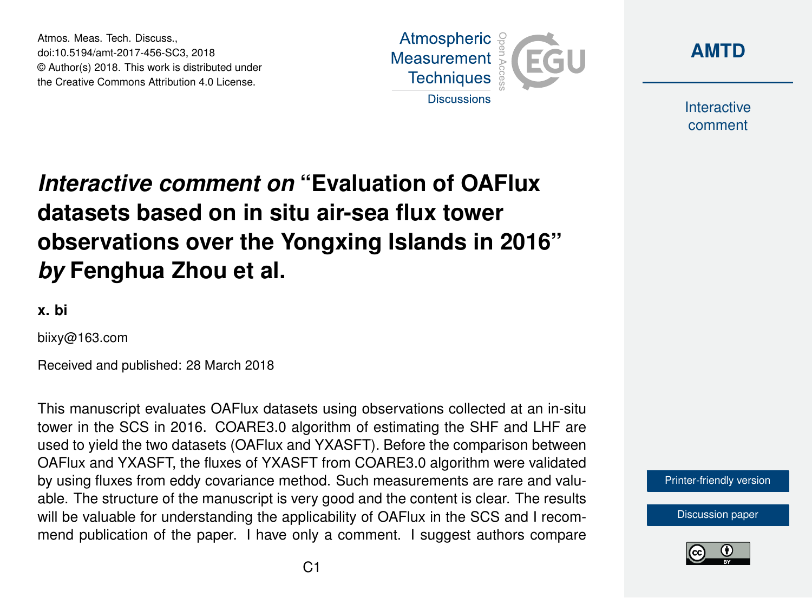Atmos. Meas. Tech. Discuss., doi:10.5194/amt-2017-456-SC3, 2018 © Author(s) 2018. This work is distributed under the Creative Commons Attribution 4.0 License.





Interactive comment

## *Interactive comment on* **"Evaluation of OAFlux datasets based on in situ air-sea flux tower observations over the Yongxing Islands in 2016"** *by* **Fenghua Zhou et al.**

**x. bi**

biixy@163.com

Received and published: 28 March 2018

This manuscript evaluates OAFlux datasets using observations collected at an in-situ tower in the SCS in 2016. COARE3.0 algorithm of estimating the SHF and LHF are used to yield the two datasets (OAFlux and YXASFT). Before the comparison between OAFlux and YXASFT, the fluxes of YXASFT from COARE3.0 algorithm were validated by using fluxes from eddy covariance method. Such measurements are rare and valuable. The structure of the manuscript is very good and the content is clear. The results will be valuable for understanding the applicability of OAFlux in the SCS and I recommend publication of the paper. I have only a comment. I suggest authors compare

[Printer-friendly version](https://www.atmos-meas-tech-discuss.net/amt-2017-456/amt-2017-456-SC3-print.pdf)

[Discussion paper](https://www.atmos-meas-tech-discuss.net/amt-2017-456)